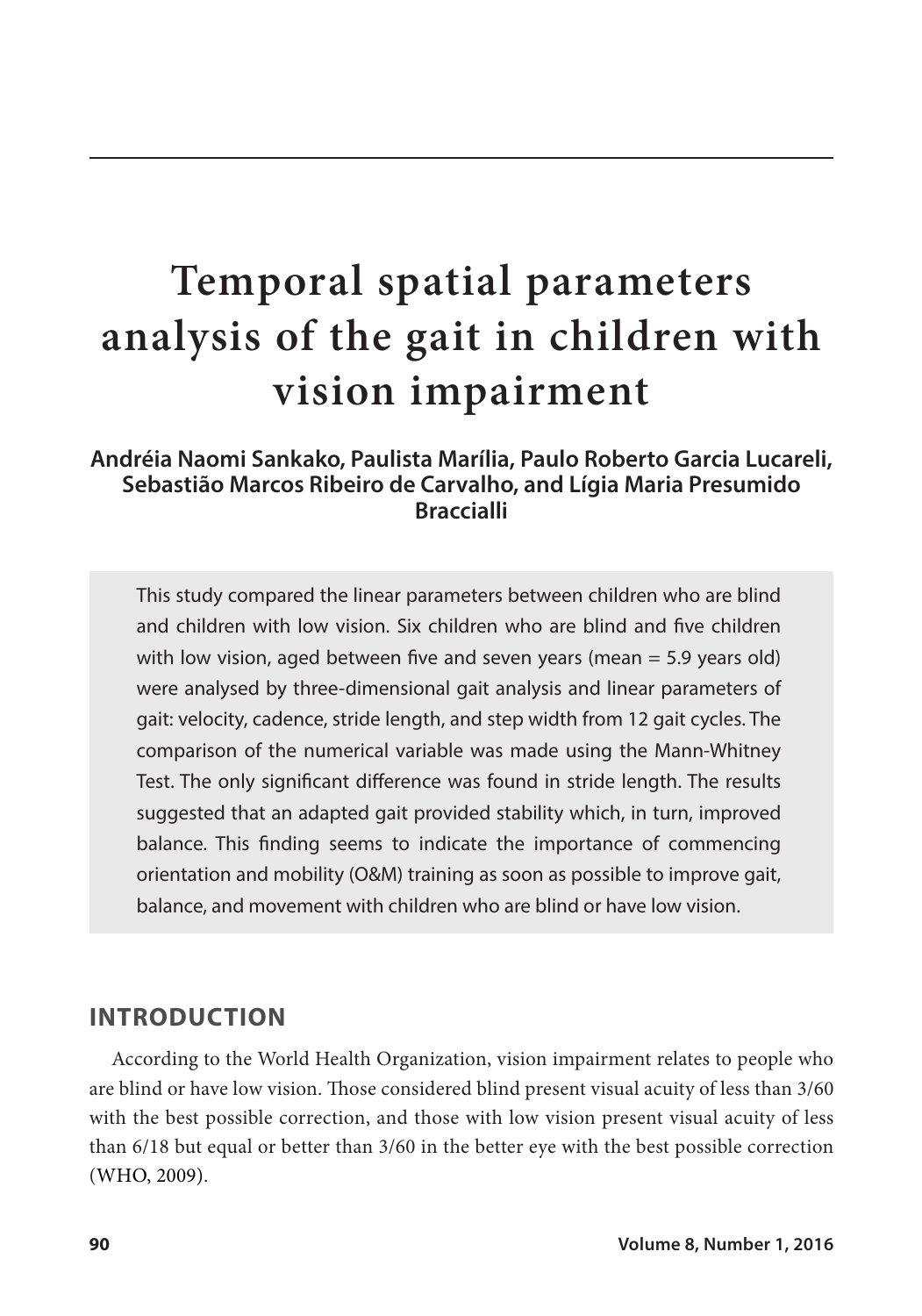# **Temporal spatial parameters analysis of the gait in children with vision impairment**

#### **Andréia Naomi Sankako, Paulista Marília, Paulo Roberto Garcia Lucareli, Sebastião Marcos Ribeiro de Carvalho, and Lígia Maria Presumido Braccialli**

This study compared the linear parameters between children who are blind and children with low vision. Six children who are blind and five children with low vision, aged between five and seven years (mean  $=$  5.9 years old) were analysed by three-dimensional gait analysis and linear parameters of gait: velocity, cadence, stride length, and step width from 12 gait cycles. The comparison of the numerical variable was made using the Mann-Whitney Test. The only significant difference was found in stride length. The results suggested that an adapted gait provided stability which, in turn, improved balance. This finding seems to indicate the importance of commencing orientation and mobility (O&M) training as soon as possible to improve gait, balance, and movement with children who are blind or have low vision.

#### **INTRODUCTION**

According to the World Health Organization, vision impairment relates to people who are blind or have low vision. Those considered blind present visual acuity of less than 3/60 with the best possible correction, and those with low vision present visual acuity of less than 6/18 but equal or better than 3/60 in the better eye with the best possible correction (WHO, 2009).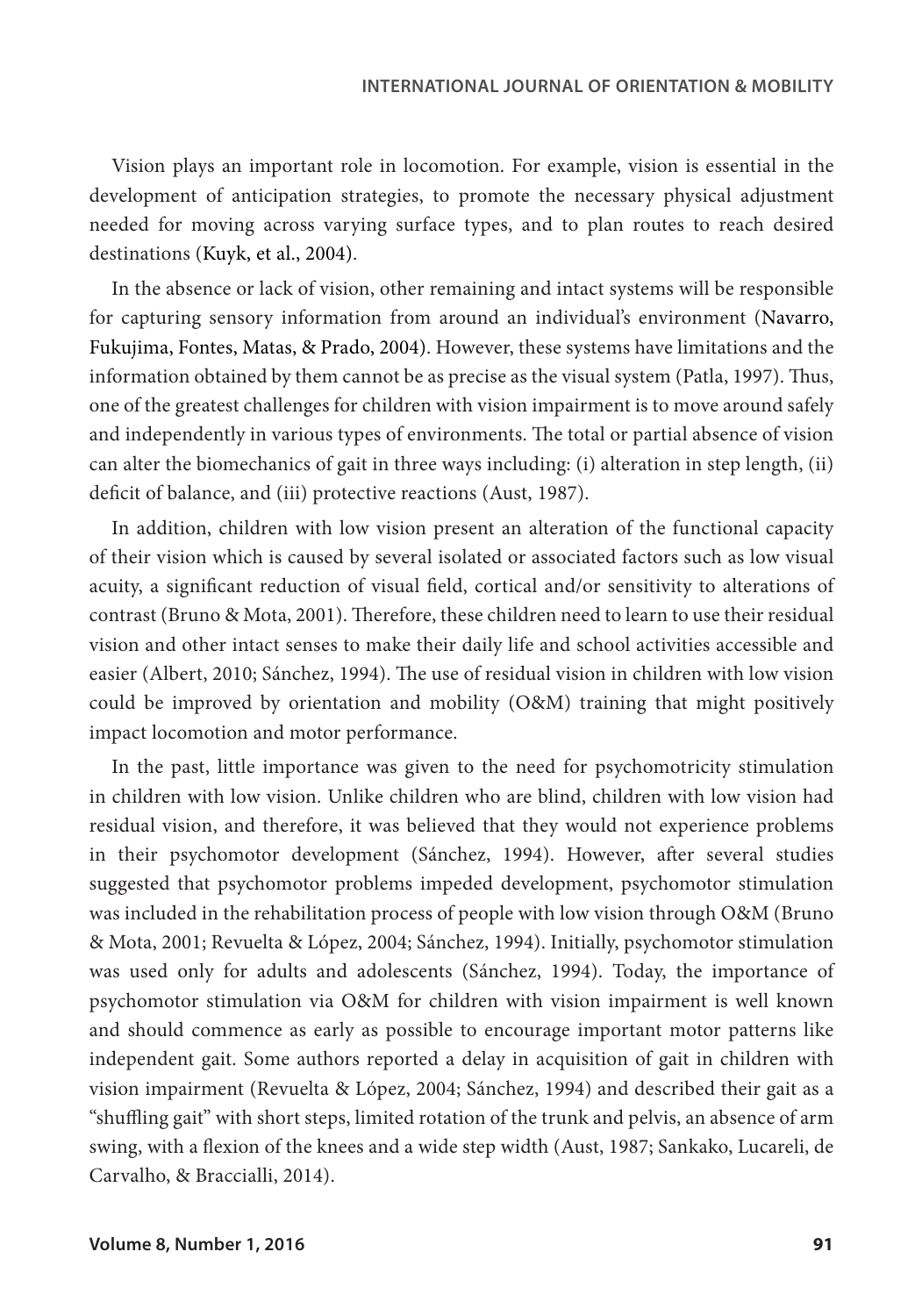Vision plays an important role in locomotion. For example, vision is essential in the development of anticipation strategies, to promote the necessary physical adjustment needed for moving across varying surface types, and to plan routes to reach desired destinations (Kuyk, et al., 2004).

In the absence or lack of vision, other remaining and intact systems will be responsible for capturing sensory information from around an individual's environment (Navarro, Fukujima, Fontes, Matas, & Prado, 2004). However, these systems have limitations and the information obtained by them cannot be as precise as the visual system (Patla, 1997). Thus, one of the greatest challenges for children with vision impairment is to move around safely and independently in various types of environments. The total or partial absence of vision can alter the biomechanics of gait in three ways including: (i) alteration in step length, (ii) deficit of balance, and (iii) protective reactions (Aust, 1987).

In addition, children with low vision present an alteration of the functional capacity of their vision which is caused by several isolated or associated factors such as low visual acuity, a significant reduction of visual field, cortical and/or sensitivity to alterations of contrast (Bruno & Mota, 2001). Therefore, these children need to learn to use their residual vision and other intact senses to make their daily life and school activities accessible and easier (Albert, 2010; Sánchez, 1994). The use of residual vision in children with low vision could be improved by orientation and mobility (O&M) training that might positively impact locomotion and motor performance.

In the past, little importance was given to the need for psychomotricity stimulation in children with low vision. Unlike children who are blind, children with low vision had residual vision, and therefore, it was believed that they would not experience problems in their psychomotor development (Sánchez, 1994). However, after several studies suggested that psychomotor problems impeded development, psychomotor stimulation was included in the rehabilitation process of people with low vision through O&M (Bruno & Mota, 2001; Revuelta & López, 2004; Sánchez, 1994). Initially, psychomotor stimulation was used only for adults and adolescents (Sánchez, 1994). Today, the importance of psychomotor stimulation via O&M for children with vision impairment is well known and should commence as early as possible to encourage important motor patterns like independent gait. Some authors reported a delay in acquisition of gait in children with vision impairment (Revuelta & López, 2004; Sánchez, 1994) and described their gait as a "shuffling gait" with short steps, limited rotation of the trunk and pelvis, an absence of arm swing, with a flexion of the knees and a wide step width (Aust, 1987; Sankako, Lucareli, de Carvalho, & Braccialli, 2014).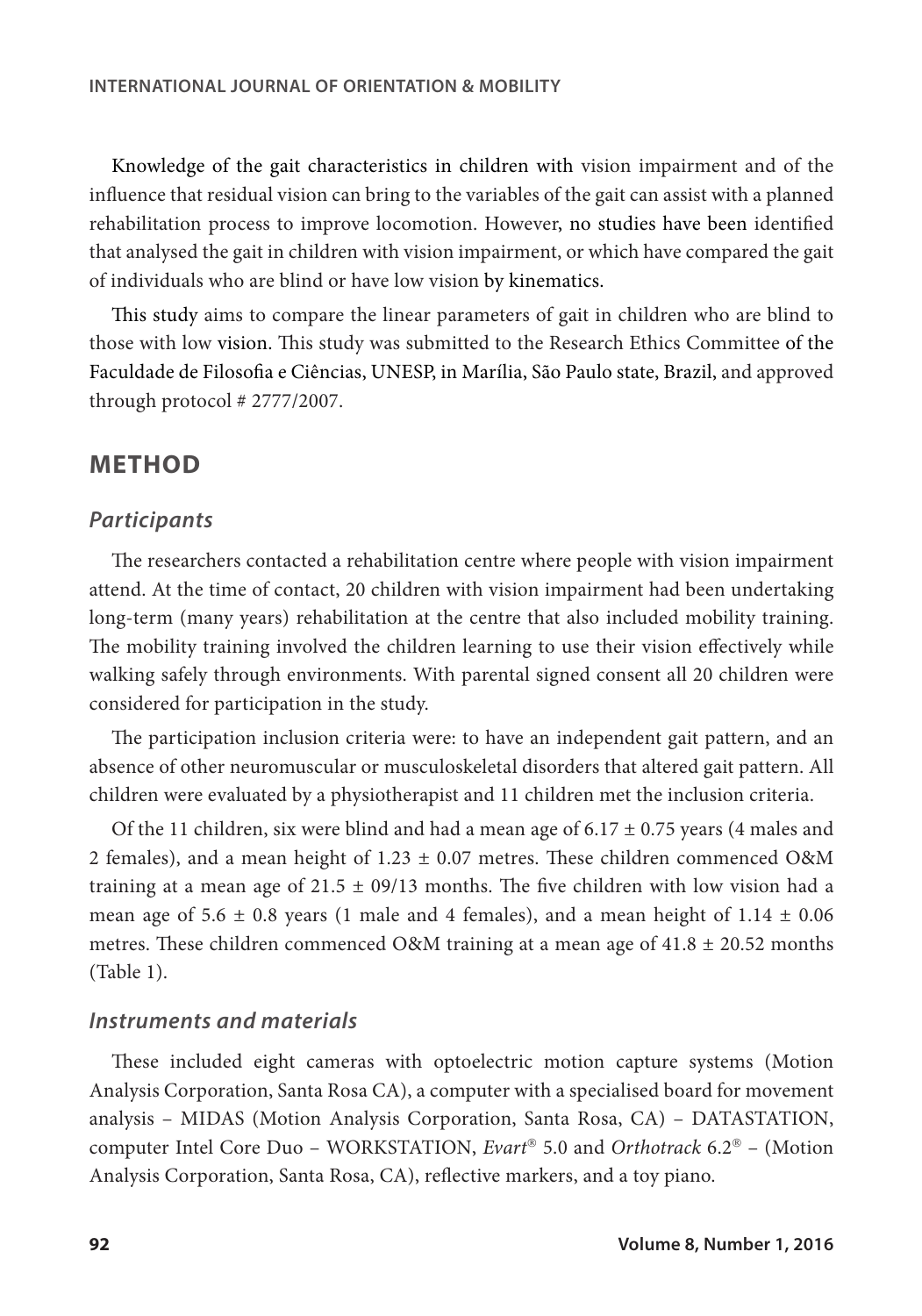Knowledge of the gait characteristics in children with vision impairment and of the influence that residual vision can bring to the variables of the gait can assist with a planned rehabilitation process to improve locomotion. However, no studies have been identified that analysed the gait in children with vision impairment, or which have compared the gait of individuals who are blind or have low vision by kinematics.

This study aims to compare the linear parameters of gait in children who are blind to those with low vision. This study was submitted to the Research Ethics Committee of the Faculdade de Filosofia e Ciências, UNESP, in Marília, São Paulo state, Brazil, and approved through protocol # 2777/2007.

### **METHOD**

#### *Participants*

The researchers contacted a rehabilitation centre where people with vision impairment attend. At the time of contact, 20 children with vision impairment had been undertaking long-term (many years) rehabilitation at the centre that also included mobility training. The mobility training involved the children learning to use their vision effectively while walking safely through environments. With parental signed consent all 20 children were considered for participation in the study.

The participation inclusion criteria were: to have an independent gait pattern, and an absence of other neuromuscular or musculoskeletal disorders that altered gait pattern. All children were evaluated by a physiotherapist and 11 children met the inclusion criteria.

Of the 11 children, six were blind and had a mean age of  $6.17 \pm 0.75$  years (4 males and 2 females), and a mean height of  $1.23 \pm 0.07$  metres. These children commenced O&M training at a mean age of  $21.5 \pm 09/13$  months. The five children with low vision had a mean age of 5.6  $\pm$  0.8 years (1 male and 4 females), and a mean height of 1.14  $\pm$  0.06 metres. These children commenced O&M training at a mean age of  $41.8 \pm 20.52$  months (Table 1).

#### *Instruments and materials*

These included eight cameras with optoelectric motion capture systems (Motion Analysis Corporation, Santa Rosa CA), a computer with a specialised board for movement analysis – MIDAS (Motion Analysis Corporation, Santa Rosa, CA) – DATASTATION, computer Intel Core Duo – WORKSTATION, *Evart* 5.0 and *Orthotrack* 6.2 – (Motion Analysis Corporation, Santa Rosa, CA), reflective markers, and a toy piano.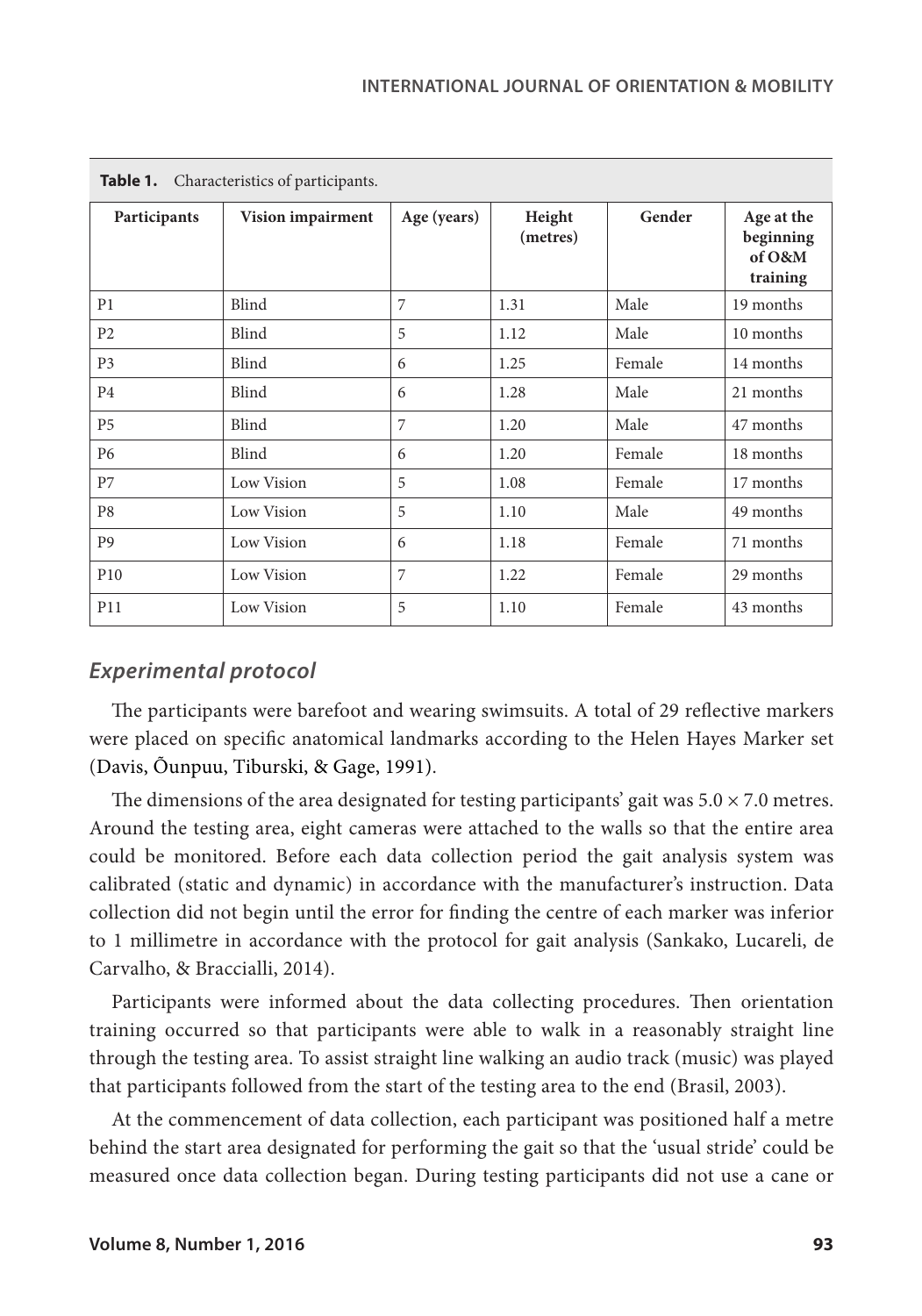| Table 1.<br>Characteristics of participants. |                   |             |                    |        |                                               |  |  |  |  |  |  |
|----------------------------------------------|-------------------|-------------|--------------------|--------|-----------------------------------------------|--|--|--|--|--|--|
| Participants                                 | Vision impairment | Age (years) | Height<br>(metres) | Gender | Age at the<br>beginning<br>of O&M<br>training |  |  |  |  |  |  |
| P1                                           | Blind             | 7           | 1.31               | Male   | 19 months                                     |  |  |  |  |  |  |
| P <sub>2</sub>                               | Blind             | 5           | 1.12               | Male   | 10 months                                     |  |  |  |  |  |  |
| P <sub>3</sub>                               | Blind             | 6           | 1.25               | Female | 14 months                                     |  |  |  |  |  |  |
| P <sub>4</sub>                               | Blind             | 6           | 1.28               | Male   | 21 months                                     |  |  |  |  |  |  |
| P <sub>5</sub>                               | Blind             | 7           | 1.20               | Male   | 47 months                                     |  |  |  |  |  |  |
| P <sub>6</sub>                               | Blind             | 6           | 1.20               | Female | 18 months                                     |  |  |  |  |  |  |
| P7                                           | Low Vision        | 5           | 1.08               | Female | 17 months                                     |  |  |  |  |  |  |
| P <sub>8</sub>                               | Low Vision        | 5           | 1.10               | Male   | 49 months                                     |  |  |  |  |  |  |
| P <sub>9</sub>                               | Low Vision        | 6           | 1.18               | Female | 71 months                                     |  |  |  |  |  |  |
| P <sub>10</sub>                              | Low Vision        | 7           | 1.22               | Female | 29 months                                     |  |  |  |  |  |  |
| P11                                          | Low Vision        | 5           | 1.10               | Female | 43 months                                     |  |  |  |  |  |  |

**Table 1.** Characteristics of participants.

#### *Experimental protocol*

The participants were barefoot and wearing swimsuits. A total of 29 reflective markers were placed on specific anatomical landmarks according to the Helen Hayes Marker set (Davis, Õunpuu, Tiburski, & Gage, 1991).

The dimensions of the area designated for testing participants' gait was  $5.0 \times 7.0$  metres. Around the testing area, eight cameras were attached to the walls so that the entire area could be monitored. Before each data collection period the gait analysis system was calibrated (static and dynamic) in accordance with the manufacturer's instruction. Data collection did not begin until the error for finding the centre of each marker was inferior to 1 millimetre in accordance with the protocol for gait analysis (Sankako, Lucareli, de Carvalho, & Braccialli, 2014).

Participants were informed about the data collecting procedures. Then orientation training occurred so that participants were able to walk in a reasonably straight line through the testing area. To assist straight line walking an audio track (music) was played that participants followed from the start of the testing area to the end (Brasil, 2003).

At the commencement of data collection, each participant was positioned half a metre behind the start area designated for performing the gait so that the 'usual stride' could be measured once data collection began. During testing participants did not use a cane or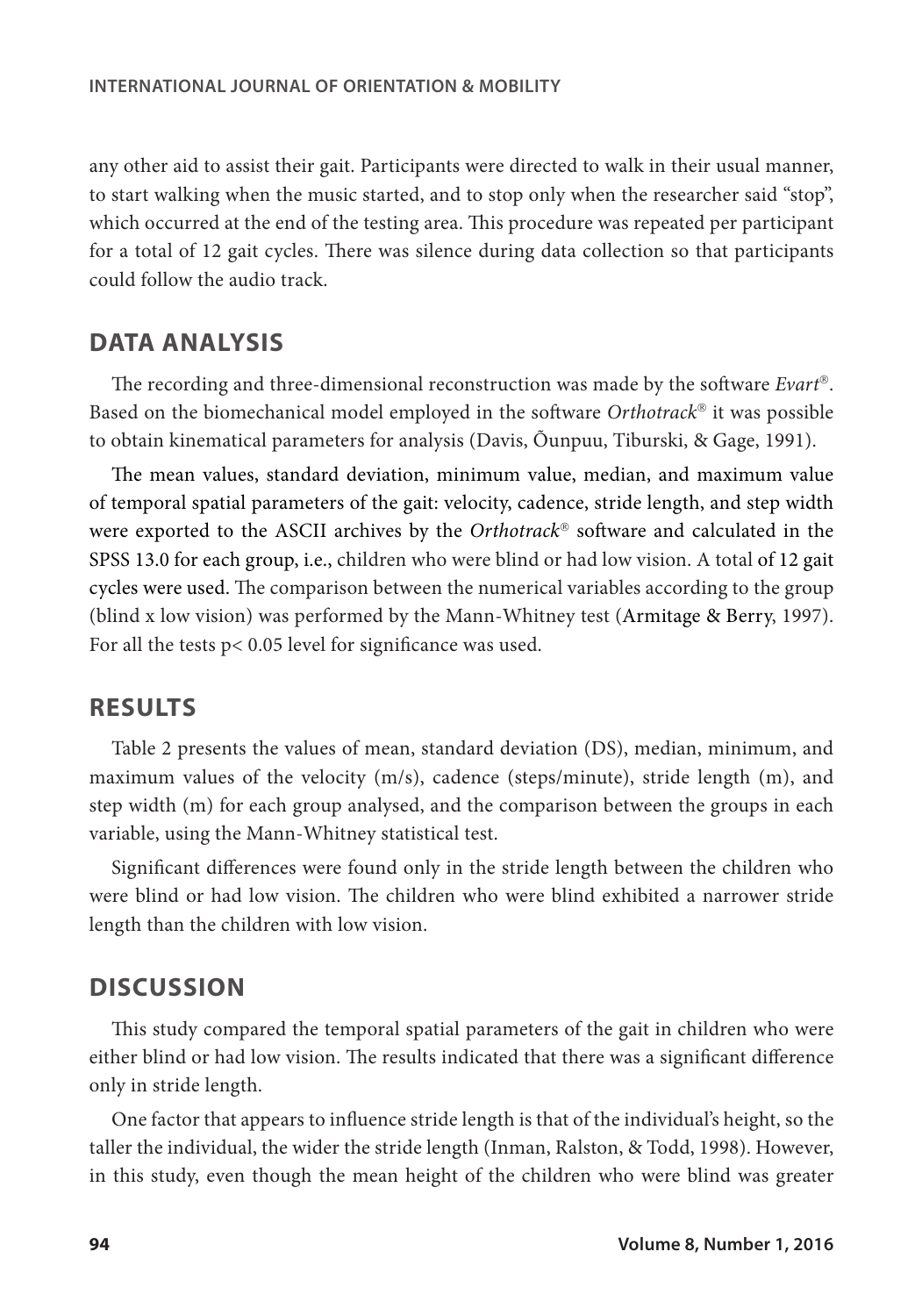any other aid to assist their gait. Participants were directed to walk in their usual manner, to start walking when the music started, and to stop only when the researcher said "stop", which occurred at the end of the testing area. This procedure was repeated per participant for a total of 12 gait cycles. There was silence during data collection so that participants could follow the audio track.

## **DATA ANALYSIS**

The recording and three-dimensional reconstruction was made by the software *Evart*. Based on the biomechanical model employed in the software *Orthotrack*<sup>®</sup> it was possible to obtain kinematical parameters for analysis (Davis, Õunpuu, Tiburski, & Gage, 1991).

The mean values, standard deviation, minimum value, median, and maximum value of temporal spatial parameters of the gait: velocity, cadence, stride length, and step width were exported to the ASCII archives by the *Orthotrack®* software and calculated in the SPSS 13.0 for each group, i.e., children who were blind or had low vision. A total of 12 gait cycles were used. The comparison between the numerical variables according to the group (blind x low vision) was performed by the Mann-Whitney test (Armitage & Berry, 1997). For all the tests p< 0.05 level for significance was used.

#### **RESULTS**

Table 2 presents the values of mean, standard deviation (DS), median, minimum, and maximum values of the velocity (m/s), cadence (steps/minute), stride length (m), and step width (m) for each group analysed, and the comparison between the groups in each variable, using the Mann-Whitney statistical test.

Significant differences were found only in the stride length between the children who were blind or had low vision. The children who were blind exhibited a narrower stride length than the children with low vision.

#### **DISCUSSION**

This study compared the temporal spatial parameters of the gait in children who were either blind or had low vision. The results indicated that there was a significant difference only in stride length.

One factor that appears to influence stride length is that of the individual's height, so the taller the individual, the wider the stride length (Inman, Ralston, & Todd, 1998). However, in this study, even though the mean height of the children who were blind was greater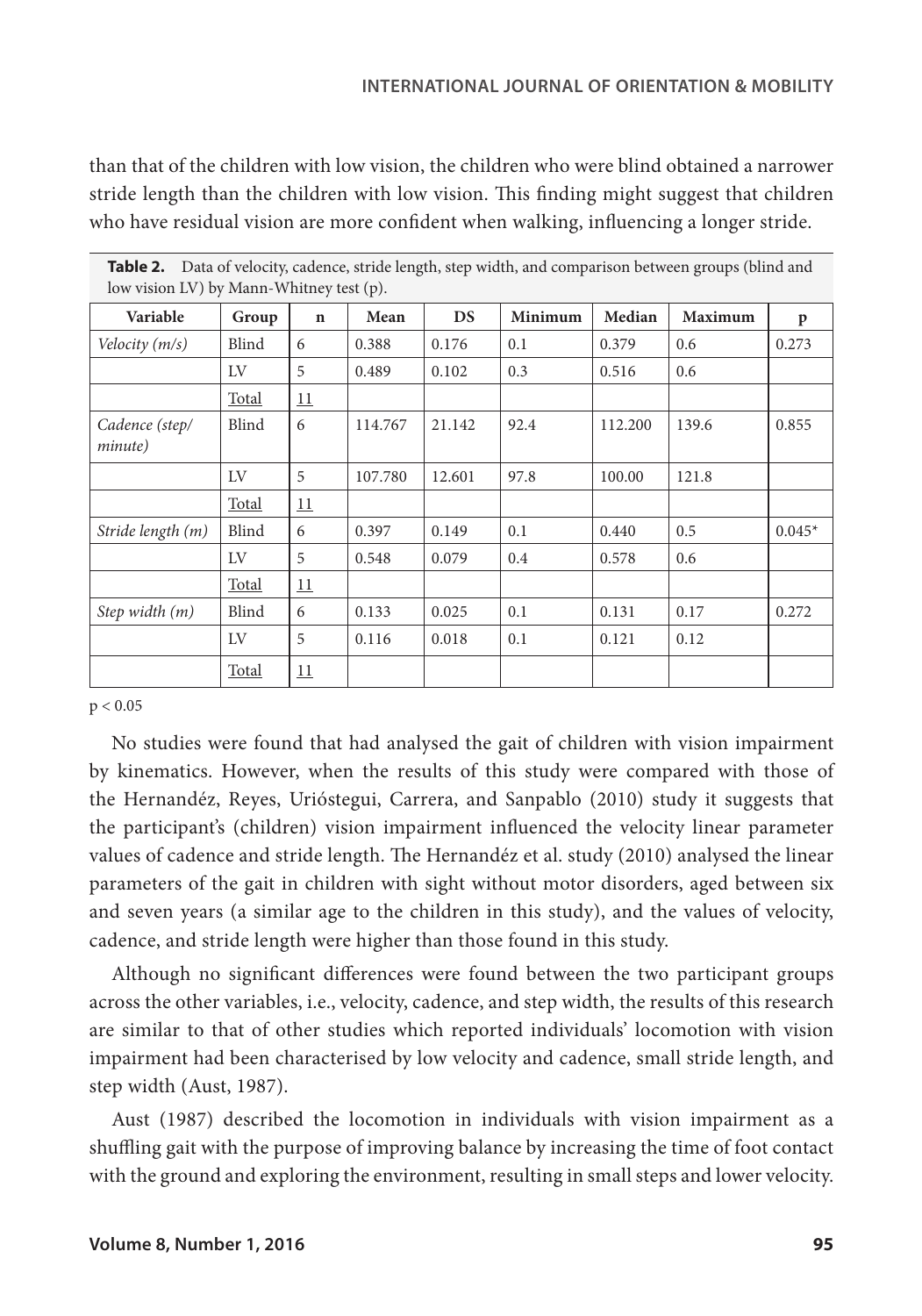#### **INTERNATIONAL JOURNAL OF ORIENTATION & MOBILITY**

than that of the children with low vision, the children who were blind obtained a narrower stride length than the children with low vision. This finding might suggest that children who have residual vision are more confident when walking, influencing a longer stride.

| <b>TODIC 4.</b> Data of velocity, cauchet, striut itiigin, step whith, and comparison between groups (binit and<br>low vision LV) by Mann-Whitney test (p). |              |             |         |        |         |         |                |          |  |  |  |
|-------------------------------------------------------------------------------------------------------------------------------------------------------------|--------------|-------------|---------|--------|---------|---------|----------------|----------|--|--|--|
| Variable                                                                                                                                                    | Group        | $\mathbf n$ | Mean    | DS     | Minimum | Median  | <b>Maximum</b> | p        |  |  |  |
| Velocity (m/s)                                                                                                                                              | Blind        | 6           | 0.388   | 0.176  | 0.1     | 0.379   | 0.6            | 0.273    |  |  |  |
|                                                                                                                                                             | LV           | 5           | 0.489   | 0.102  | 0.3     | 0.516   | 0.6            |          |  |  |  |
|                                                                                                                                                             | <b>Total</b> | 11          |         |        |         |         |                |          |  |  |  |
| Cadence (step/<br><i>minute</i> )                                                                                                                           | Blind        | 6           | 114.767 | 21.142 | 92.4    | 112.200 | 139.6          | 0.855    |  |  |  |
|                                                                                                                                                             | LV           | 5           | 107.780 | 12.601 | 97.8    | 100.00  | 121.8          |          |  |  |  |
|                                                                                                                                                             | <b>Total</b> | 11          |         |        |         |         |                |          |  |  |  |
| Stride length (m)                                                                                                                                           | Blind        | 6           | 0.397   | 0.149  | 0.1     | 0.440   | 0.5            | $0.045*$ |  |  |  |
|                                                                                                                                                             | LV           | 5           | 0.548   | 0.079  | 0.4     | 0.578   | 0.6            |          |  |  |  |
|                                                                                                                                                             | Total        | 11          |         |        |         |         |                |          |  |  |  |
| Step width $(m)$                                                                                                                                            | Blind        | 6           | 0.133   | 0.025  | 0.1     | 0.131   | 0.17           | 0.272    |  |  |  |
|                                                                                                                                                             | LV           | 5           | 0.116   | 0.018  | 0.1     | 0.121   | 0.12           |          |  |  |  |
|                                                                                                                                                             | Total        | 11          |         |        |         |         |                |          |  |  |  |

# **Table 2.** Data of velocity, cadence, stride length, step width, and comparison between groups (blind and

#### $p < 0.05$

No studies were found that had analysed the gait of children with vision impairment by kinematics. However, when the results of this study were compared with those of the Hernandéz, Reyes, Urióstegui, Carrera, and Sanpablo (2010) study it suggests that the participant's (children) vision impairment influenced the velocity linear parameter values of cadence and stride length. The Hernandéz et al. study (2010) analysed the linear parameters of the gait in children with sight without motor disorders, aged between six and seven years (a similar age to the children in this study), and the values of velocity, cadence, and stride length were higher than those found in this study.

Although no significant differences were found between the two participant groups across the other variables, i.e., velocity, cadence, and step width, the results of this research are similar to that of other studies which reported individuals' locomotion with vision impairment had been characterised by low velocity and cadence, small stride length, and step width (Aust, 1987).

Aust (1987) described the locomotion in individuals with vision impairment as a shuffling gait with the purpose of improving balance by increasing the time of foot contact with the ground and exploring the environment, resulting in small steps and lower velocity.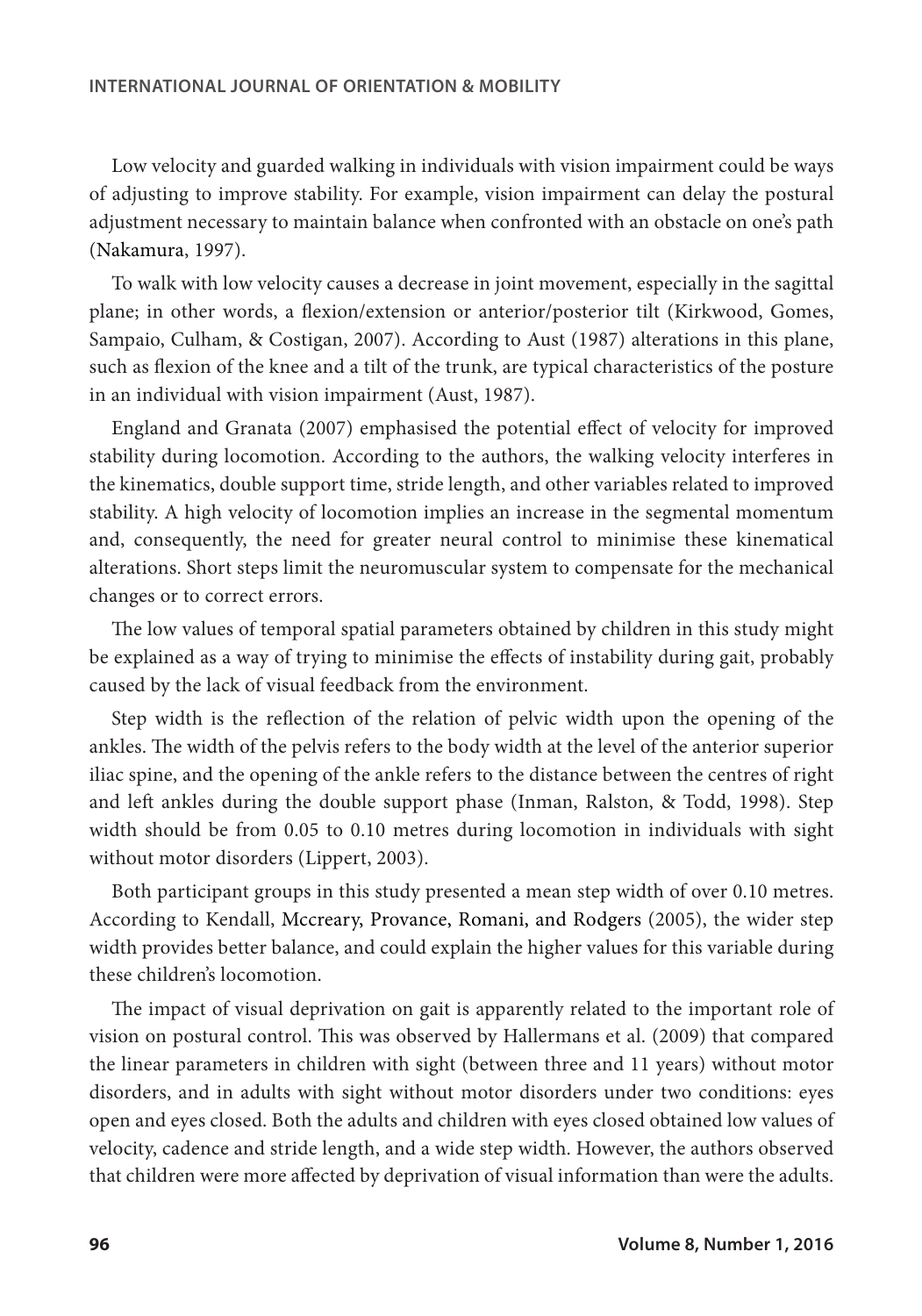Low velocity and guarded walking in individuals with vision impairment could be ways of adjusting to improve stability. For example, vision impairment can delay the postural adjustment necessary to maintain balance when confronted with an obstacle on one's path (Nakamura, 1997).

To walk with low velocity causes a decrease in joint movement, especially in the sagittal plane; in other words, a flexion/extension or anterior/posterior tilt (Kirkwood, Gomes, Sampaio, Culham, & Costigan, 2007). According to Aust (1987) alterations in this plane, such as flexion of the knee and a tilt of the trunk, are typical characteristics of the posture in an individual with vision impairment (Aust, 1987).

England and Granata (2007) emphasised the potential effect of velocity for improved stability during locomotion. According to the authors, the walking velocity interferes in the kinematics, double support time, stride length, and other variables related to improved stability. A high velocity of locomotion implies an increase in the segmental momentum and, consequently, the need for greater neural control to minimise these kinematical alterations. Short steps limit the neuromuscular system to compensate for the mechanical changes or to correct errors.

The low values of temporal spatial parameters obtained by children in this study might be explained as a way of trying to minimise the effects of instability during gait, probably caused by the lack of visual feedback from the environment.

Step width is the reflection of the relation of pelvic width upon the opening of the ankles. The width of the pelvis refers to the body width at the level of the anterior superior iliac spine, and the opening of the ankle refers to the distance between the centres of right and left ankles during the double support phase (Inman, Ralston, & Todd, 1998). Step width should be from 0.05 to 0.10 metres during locomotion in individuals with sight without motor disorders (Lippert, 2003).

Both participant groups in this study presented a mean step width of over 0.10 metres. According to Kendall, Mccreary, Provance, Romani, and Rodgers (2005), the wider step width provides better balance, and could explain the higher values for this variable during these children's locomotion.

The impact of visual deprivation on gait is apparently related to the important role of vision on postural control. This was observed by Hallermans et al. (2009) that compared the linear parameters in children with sight (between three and 11 years) without motor disorders, and in adults with sight without motor disorders under two conditions: eyes open and eyes closed. Both the adults and children with eyes closed obtained low values of velocity, cadence and stride length, and a wide step width. However, the authors observed that children were more affected by deprivation of visual information than were the adults.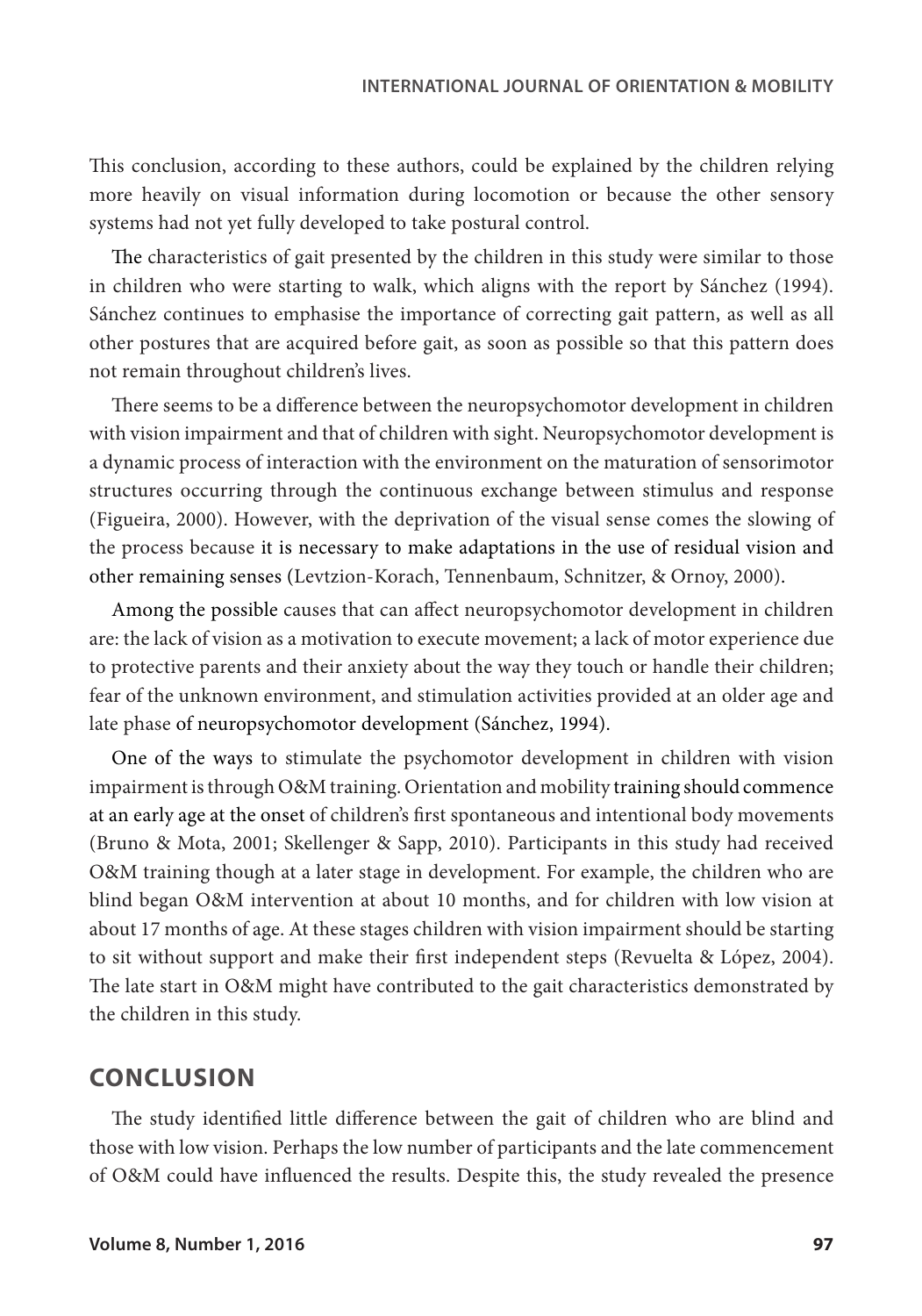This conclusion, according to these authors, could be explained by the children relying more heavily on visual information during locomotion or because the other sensory systems had not yet fully developed to take postural control.

The characteristics of gait presented by the children in this study were similar to those in children who were starting to walk, which aligns with the report by Sánchez (1994). Sánchez continues to emphasise the importance of correcting gait pattern, as well as all other postures that are acquired before gait, as soon as possible so that this pattern does not remain throughout children's lives.

There seems to be a difference between the neuropsychomotor development in children with vision impairment and that of children with sight. Neuropsychomotor development is a dynamic process of interaction with the environment on the maturation of sensorimotor structures occurring through the continuous exchange between stimulus and response (Figueira, 2000). However, with the deprivation of the visual sense comes the slowing of the process because it is necessary to make adaptations in the use of residual vision and other remaining senses (Levtzion-Korach, Tennenbaum, Schnitzer, & Ornoy, 2000).

Among the possible causes that can affect neuropsychomotor development in children are: the lack of vision as a motivation to execute movement; a lack of motor experience due to protective parents and their anxiety about the way they touch or handle their children; fear of the unknown environment, and stimulation activities provided at an older age and late phase of neuropsychomotor development (Sánchez, 1994).

One of the ways to stimulate the psychomotor development in children with vision impairment is through O&M training. Orientation and mobility training should commence at an early age at the onset of children's first spontaneous and intentional body movements (Bruno & Mota, 2001; Skellenger & Sapp, 2010). Participants in this study had received O&M training though at a later stage in development. For example, the children who are blind began O&M intervention at about 10 months, and for children with low vision at about 17 months of age. At these stages children with vision impairment should be starting to sit without support and make their first independent steps (Revuelta & López, 2004). The late start in O&M might have contributed to the gait characteristics demonstrated by the children in this study.

### **CONCLUSION**

The study identified little difference between the gait of children who are blind and those with low vision. Perhaps the low number of participants and the late commencement of O&M could have influenced the results. Despite this, the study revealed the presence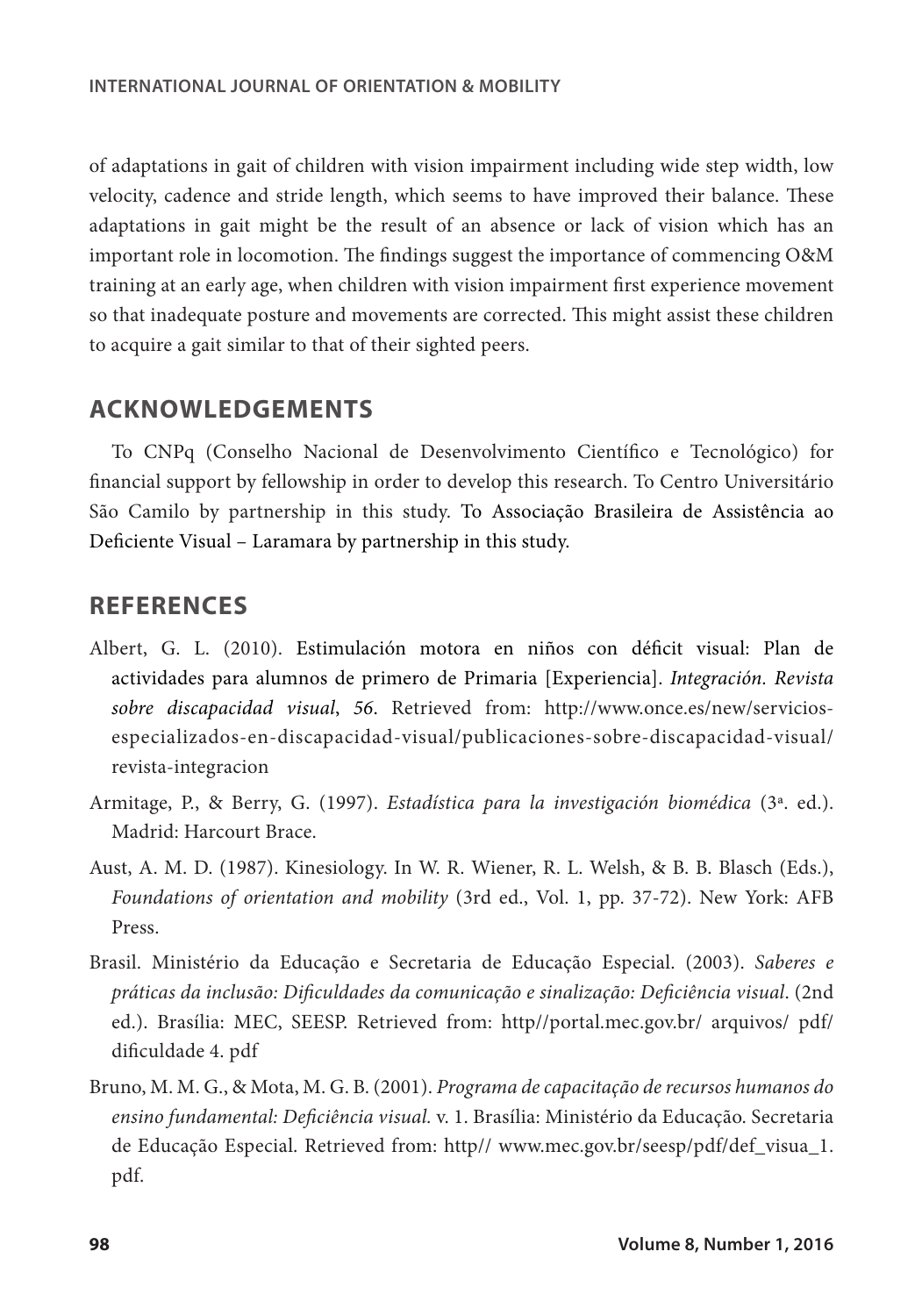of adaptations in gait of children with vision impairment including wide step width, low velocity, cadence and stride length, which seems to have improved their balance. These adaptations in gait might be the result of an absence or lack of vision which has an important role in locomotion. The findings suggest the importance of commencing O&M training at an early age, when children with vision impairment first experience movement so that inadequate posture and movements are corrected. This might assist these children to acquire a gait similar to that of their sighted peers.

#### **ACKNOWLEDGEMENTS**

To CNPq (Conselho Nacional de Desenvolvimento Científico e Tecnológico) for financial support by fellowship in order to develop this research. To Centro Universitário São Camilo by partnership in this study. To Associação Brasileira de Assistência ao Deficiente Visual – Laramara by partnership in this study.

#### **REFERENCES**

- Albert, G. L. (2010). Estimulación motora en niños con déficit visual: Plan de actividades para alumnos de primero de Primaria [Experiencia]. *Integración. Revista sobre discapacidad visual*, *56*. Retrieved from: http://www.once.es/new/serviciosespecializados-en-discapacidad-visual/publicaciones-sobre-discapacidad-visual/ revista-integracion
- Armitage, P., & Berry, G. (1997). *Estadística para la investigación biomédica* (3ª. ed.). Madrid: Harcourt Brace.
- Aust, A. M. D. (1987). Kinesiology. In W. R. Wiener, R. L. Welsh, & B. B. Blasch (Eds.), *Foundations of orientation and mobility* (3rd ed., Vol. 1, pp. 37-72). New York: AFB Press.
- Brasil. Ministério da Educação e Secretaria de Educação Especial. (2003). *Saberes e práticas da inclusão: Dificuldades da comunicação e sinalização: Deficiência visual*. (2nd ed.). Brasília: MEC, SEESP. Retrieved from: http//portal.mec.gov.br/ arquivos/ pdf/ dificuldade 4. pdf
- Bruno, M. M. G., & Mota, M. G. B. (2001). *Programa de capacitação de recursos humanos do ensino fundamental: Deficiência visual.* v. 1. Brasília: Ministério da Educação. Secretaria de Educação Especial. Retrieved from: http// www.mec.gov.br/seesp/pdf/def\_visua\_1. pdf.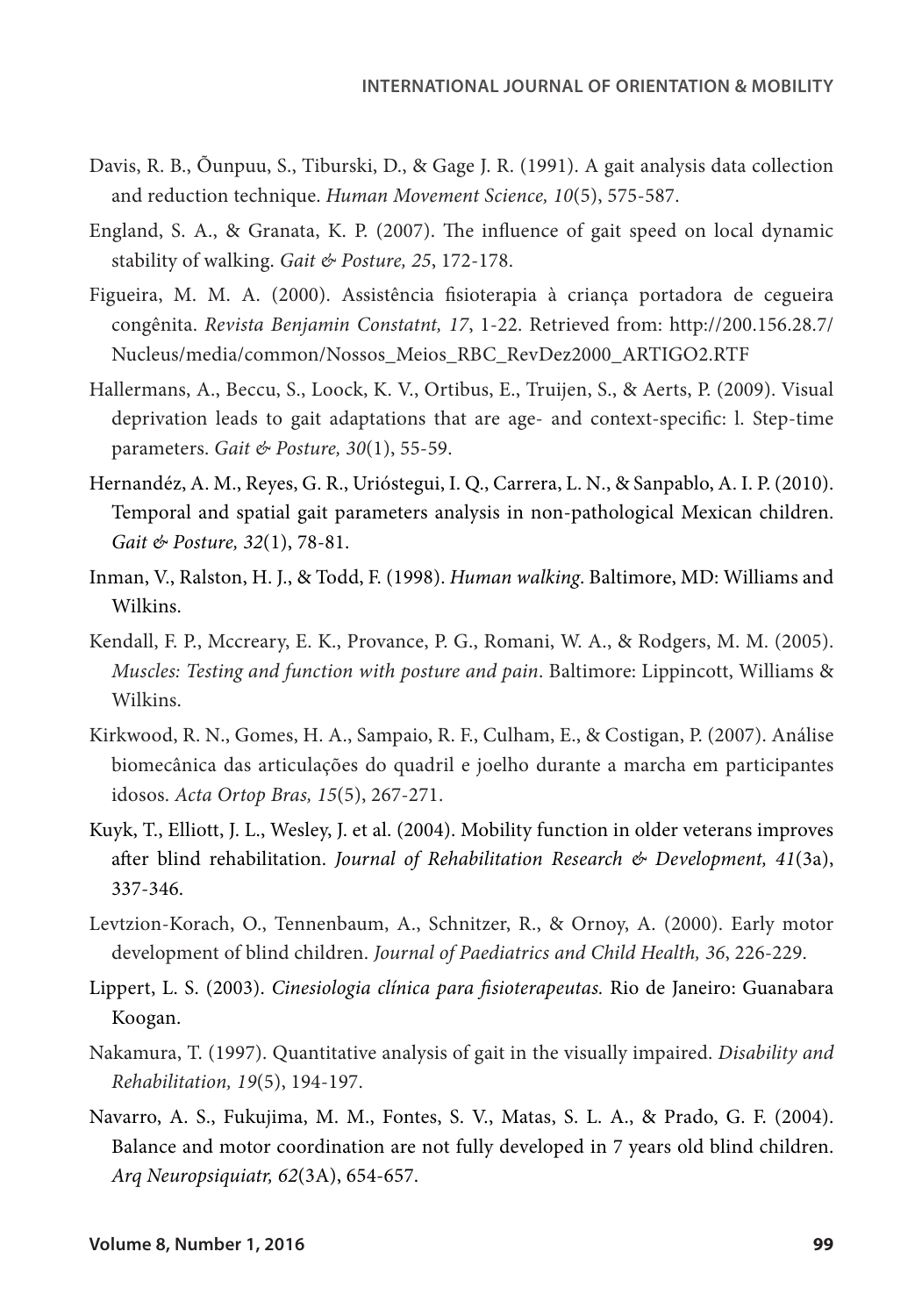- Davis, R. B., Õunpuu, S., Tiburski, D., & Gage J. R. (1991). A gait analysis data collection and reduction technique. *Human Movement Science, 10*(5), 575-587.
- England, S. A., & Granata, K. P. (2007). The influence of gait speed on local dynamic stability of walking. *Gait & Posture, 25*, 172-178.
- Figueira, M. M. A. (2000). Assistência fisioterapia à criança portadora de cegueira congênita. *Revista Benjamin Constatnt, 17*, 1-22. Retrieved from: http://200.156.28.7/ Nucleus/media/common/Nossos\_Meios\_RBC\_RevDez2000\_ARTIGO2.RTF
- Hallermans, A., Beccu, S., Loock, K. V., Ortibus, E., Truijen, S., & Aerts, P. (2009). Visual deprivation leads to gait adaptations that are age- and context-specific: l. Step-time parameters. *Gait & Posture, 30*(1), 55-59.
- Hernandéz, A. M., Reyes, G. R., Urióstegui, I. Q., Carrera, L. N., & Sanpablo, A. I. P. (2010). Temporal and spatial gait parameters analysis in non-pathological Mexican children. *Gait & Posture, 32*(1), 78-81.
- Inman, V., Ralston, H. J., & Todd, F. (1998). *Human walking*. Baltimore, MD: Williams and Wilkins.
- Kendall, F. P., Mccreary, E. K., Provance, P. G., Romani, W. A., & Rodgers, M. M. (2005). *Muscles: Testing and function with posture and pain*. Baltimore: Lippincott, Williams & Wilkins.
- Kirkwood, R. N., Gomes, H. A., Sampaio, R. F., Culham, E., & Costigan, P. (2007). Análise biomecânica das articulações do quadril e joelho durante a marcha em participantes idosos. *Acta Ortop Bras, 15*(5), 267-271.
- Kuyk, T., Elliott, J. L., Wesley, J. et al. (2004). Mobility function in older veterans improves after blind rehabilitation. *Journal of Rehabilitation Research & Development, 41*(3a), 337-346.
- Levtzion-Korach, O., Tennenbaum, A., Schnitzer, R., & Ornoy, A. (2000). Early motor development of blind children. *Journal of Paediatrics and Child Health, 36*, 226-229.
- Lippert, L. S. (2003). *Cinesiologia clínica para fisioterapeutas.* Rio de Janeiro: Guanabara Koogan.
- Nakamura, T. (1997). Quantitative analysis of gait in the visually impaired. *Disability and Rehabilitation, 19*(5), 194-197.
- Navarro, A. S., Fukujima, M. M., Fontes, S. V., Matas, S. L. A., & Prado, G. F. (2004). Balance and motor coordination are not fully developed in 7 years old blind children. *Arq Neuropsiquiatr, 62*(3A), 654-657.